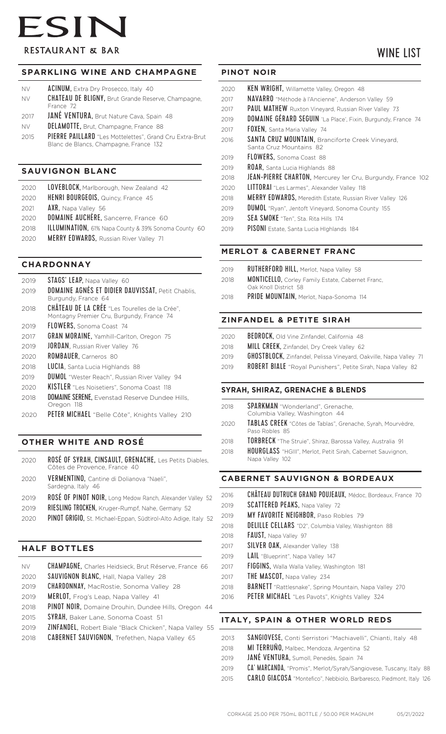# ESIN **RESTAURANT & BAR**

# WINE LIST

#### **SPARKLING WINE AND CHAMPAGNE**

| <b>NV</b> | <b>ACINUM, Extra Dry Prosecco, Italy 40</b>                |
|-----------|------------------------------------------------------------|
| NV.       | <b>CHATEAU DE BLIGNY</b> , Brut Grande Reserve, Champagne, |
|           | France 72                                                  |
|           |                                                            |

- 2017 **JANÉ VENTURA, Brut Nature Cava, Spain 48**
- NV DELAMOTTE, Brut, Champagne, France 88
- 2015 PIERRE PAILLARD "Les Mottelettes", Grand Cru Extra-Brut Blanc de Blancs, Champagne, France 132

#### **SAUVIGNON BLANC**

| <b>ILLUMINATION</b> , 61% Napa County & 39% Sonoma County 60 |
|--------------------------------------------------------------|

#### **CHARDONNAY**

| 2019 | STAGS' LEAP, Napa Valley 60                                                                 |
|------|---------------------------------------------------------------------------------------------|
| 2019 | <b>DOMAINE AGNÈS ET DIDIER DAUVISSAT, Petit Chablis,</b>                                    |
|      | Burgundy, France 64                                                                         |
| 2018 | CHÂTEAU DE LA CRÉE "Les Tourelles de la Crée",<br>Montagny Premier Cru, Burgundy, France 74 |
| 2019 | <b>FLOWERS, Sonoma Coast 74</b>                                                             |
| 2017 | <b>GRAN MORAINE, Yamhill-Carlton, Oregon 75</b>                                             |
| 2019 | <b>JORDAN.</b> Russian River Valley 76                                                      |
| 2020 | <b>ROMBAUER, Carneros 80</b>                                                                |
| 2018 | LUCIA, Santa Lucia Highlands 88                                                             |
| 2019 | <b>DUMOL</b> "Wester Reach", Russian River Valley 94                                        |
| 2020 | <b>KISTLER</b> "Les Noisetiers", Sonoma Coast 118                                           |
| 2018 | <b>DOMAINE SERENE, Evenstad Reserve Dundee Hills,</b><br>Oregon 118                         |

2020 PETER MICHAEL "Belle Côte", Knights Valley 210

### **OTHER WHITE AND ROSÉ**

| 2020 | ROSÉ OF SYRAH, CINSAULT, GRENACHE, Les Petits Diables,<br>Côtes de Provence, France 40 |
|------|----------------------------------------------------------------------------------------|
| 2020 | VERMENTINO, Cantine di Dolianova "Naeli",<br>Sardegna, Italy 46                        |
| 2019 | ROSÉ OF PINOT NOIR, Long Medow Ranch, Alexander Valley 52                              |
| 2019 | RIESLING TROCKEN, Kruger-Rumpf, Nahe, Germany 52                                       |
| 2020 | PINOT GRIGIO, St. Michael-Eppan, Südtirol-Alto Adige, Italy 52                         |
|      |                                                                                        |

#### **HALF BOTTLES**

| <b>NV</b> | <b>CHAMPAGNE, Charles Heidsieck, Brut Réserve, France 66</b> |
|-----------|--------------------------------------------------------------|
| 2020      | <b>SAUVIGNON BLANC, Hall, Napa Valley 28</b>                 |
| 2019      | <b>CHARDONNAY, MacRostie, Sonoma Valley 28</b>               |
| 2019      | MERLOT, Frog's Leap, Napa Valley 41                          |
| 2018      | PINOT NOIR, Domaine Drouhin, Dundee Hills, Oregon 44         |
| 2015      | SYRAH, Baker Lane, Sonoma Coast 51                           |
| 2019      | ZINFANDEL, Robert Biale "Black Chicken", Napa Valley 55      |
| 2018      | <b>CABERNET SAUVIGNON, Trefethen, Napa Valley 65</b>         |
|           |                                                              |

#### **PINOT NOIR**

- 2020 KEN WRIGHT, Willamette Valley, Oregon 48
- 2017 NAVARRO "Méthode à l'Ancienne", Anderson Valley 59
- 2017 PAUL MATHEW Ruxton Vineyard, Russian River Valley 73
- 2019 **DOMAINE GÉRARD SEGUIN** 'La Place', Fixin, Burgundy, France 74 2017 **FOXEN**, Santa Maria Valley 74
- <sup>2016</sup> SANTA CRUZ MOUNTAIN, Branciforte Creek Vineyard, Santa Cruz Mountains 82
- <sup>2019</sup> FLOWERS, Sonoma Coast 88
- 2019 ROAR, Santa Lucia Highlands 88
- 2018 JEAN-PIERRE CHARTON, Mercurey 1er Cru, Burgundy, France 102
- 2020 LITTORAI "Les Larmes", Alexander Valley 118
- 2018 MERRY EDWARDS, Meredith Estate, Russian River Valley 126
- 2019 **DUMOL** "Ryan", Jentoft Vineyard, Sonoma County 155
- <sup>2019</sup> SEA SMOKE "Ten", Sta. Rita Hills 174
- <sup>2019</sup> PISONI Estate, Santa Lucia HIghlands 184

#### **MERLOT & CABERNET FRANC**

- 2019 RUTHERFORD HILL, Merlot, Napa Valley 58
- 2018 MONTICELLO, Corley Family Estate, Cabernet Franc, Oak Knoll District 58
- <sup>2018</sup> PRIDE MOUNTAIN, Merlot, Napa-Sonoma 114

#### **ZINFANDEL & PETITE SIRAH**

- 2020 BEDROCK, Old Vine Zinfandel, California 48
- 2018 MILL CREEK, Zinfandel, Dry Creek Valley 62
- 2019 **GHOSTBLOCK**, Zinfandel, Pelissa Vineyard, Oakville, Napa Valley 71
- 2019 ROBERT BIALE "Royal Punishers", Petite Sirah, Napa Valley 82

#### **SYRAH, SHIRAZ, GRENACHE & BLENDS**

- 2018 SPARKMAN "Wonderland", Grenache, Columbia Valley, Washington 44
- 2020 TABLAS CREEK "Côtes de Tablas", Grenache, Syrah, Mourvèdre, Paso Robles 85
- 2018 TORBRECK "The Struie", Shiraz, Barossa Valley, Australia 91
- 2018 HOURGLASS "HGIII", Merlot, Petit Sirah, Cabernet Sauvignon, Napa Valley 102

#### **CABERNET SAUVIGNON & BORDEAUX**

2016 CHÂTEAU DUTRUCH GRAND POUJEAUX, Médoc, Bordeaux, France 70 2019 SCATTERED PEAKS, Napa Valley 72 2019 MY FAVORITE NEIGHBOR, Paso Robles 79 2018 DELILLE CELLARS "D2", Columbia Valley, Washignton 88 2018 **FAUST**, Napa Valley 97 2017 SILVER OAK, Alexander Valley 138 <sup>2019</sup> LAIL "Blueprint", Napa Valley 147 <sup>2017</sup> FIGGINS, Walla Walla Valley, Washington 181 2017 **THE MASCOT**, Napa Valley 234 2018 **BARNETT** "Rattlesnake", Spring Mountain, Napa Valley 270 2016 PETER MICHAEL "Les Pavots", Knights Valley 324 **ITALY, SPAIN & OTHER WORLD REDS**

| 2013 | SANGIOVESE, Conti Serristori "Machiavelli", Chianti, Italy 48 |  |
|------|---------------------------------------------------------------|--|
| 2018 | MI TERRUÑO, Malbec, Mendoza, Argentina 52                     |  |

- <sup>2019</sup> JANÉ VENTURA, Sumoll, Penedès, Spain 74
- 2019 CA' MARCANDA, "Promis", Merlot/Syrah/Sangiovese, Tuscany, Italy 88
- <sup>2015</sup> CARLO GIACOSA "Montefico", Nebbiolo, Barbaresco, Piedmont, Italy 126